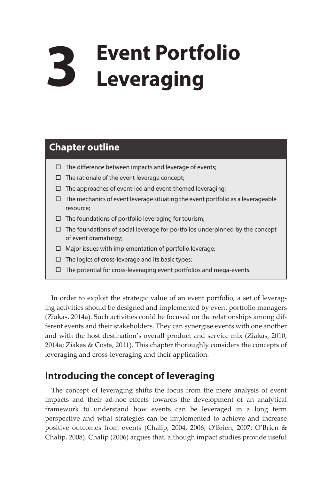# **3 Event Portfolio Leveraging**

## **Chapter outline**

- $\Box$  The difference between impacts and leverage of events;
- $\Box$  The rationale of the event leverage concept;
- $\square$  The approaches of event-led and event-themed leveraging;
- $\Box$  The mechanics of event leverage situating the event portfolio as a leverageable resource;
- $\square$  The foundations of portfolio leveraging for tourism;
- $\Box$  The foundations of social leverage for portfolios underpinned by the concept of event dramaturgy;
- Major issues with implementation of portfolio leverage;
- $\Box$  The logics of cross-leverage and its basic types;
- $\square$  The potential for cross-leveraging event portfolios and mega-events.

In order to exploit the strategic value of an event portfolio, a set of leveraging activities should be designed and implemented by event portfolio managers (Ziakas, 2014a). Such activities could be focused on the relationships among different events and their stakeholders. They can synergise events with one another and with the host destination's overall product and service mix (Ziakas, 2010, 2014a; Ziakas & Costa, 2011). This chapter thoroughly considers the concepts of leveraging and cross-leveraging and their application.

## **Introducing the concept of leveraging**

The concept of leveraging shifts the focus from the mere analysis of event impacts and their ad-hoc effects towards the development of an analytical framework to understand how events can be leveraged in a long term perspective and what strategies can be implemented to achieve and increase positive outcomes from events (Chalip, 2004, 2006; O'Brien, 2007; O'Brien & Chalip, 2008). Chalip (2006) argues that, although impact studies provide useful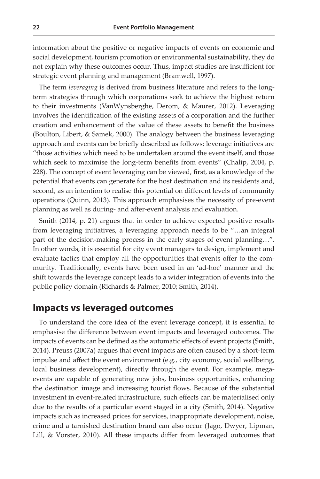information about the positive or negative impacts of events on economic and social development, tourism promotion or environmental sustainability, they do not explain why these outcomes occur. Thus, impact studies are insufficient for strategic event planning and management (Bramwell, 1997).

The term *leveraging* is derived from business literature and refers to the longterm strategies through which corporations seek to achieve the highest return to their investments (VanWynsberghe, Derom, & Maurer, 2012). Leveraging involves the identification of the existing assets of a corporation and the further creation and enhancement of the value of these assets to benefit the business (Boulton, Libert, & Samek, 2000). The analogy between the business leveraging approach and events can be briefly described as follows: leverage initiatives are "those activities which need to be undertaken around the event itself, and those which seek to maximise the long-term benefits from events" (Chalip, 2004, p. 228). The concept of event leveraging can be viewed, first, as a knowledge of the potential that events can generate for the host destination and its residents and, second, as an intention to realise this potential on different levels of community operations (Quinn, 2013). This approach emphasises the necessity of pre-event planning as well as during- and after-event analysis and evaluation.

Smith (2014, p. 21) argues that in order to achieve expected positive results from leveraging initiatives, a leveraging approach needs to be "…an integral part of the decision-making process in the early stages of event planning…". In other words, it is essential for city event managers to design, implement and evaluate tactics that employ all the opportunities that events offer to the community. Traditionally, events have been used in an 'ad-hoc' manner and the shift towards the leverage concept leads to a wider integration of events into the public policy domain (Richards & Palmer, 2010; Smith, 2014).

### **Impacts vs leveraged outcomes**

To understand the core idea of the event leverage concept, it is essential to emphasise the difference between event impacts and leveraged outcomes. The impacts of events can be defined as the automatic effects of event projects (Smith, 2014). Preuss (2007a) argues that event impacts are often caused by a short-term impulse and affect the event environment (e.g., city economy, social wellbeing, local business development), directly through the event. For example, megaevents are capable of generating new jobs, business opportunities, enhancing the destination image and increasing tourist flows. Because of the substantial investment in event-related infrastructure, such effects can be materialised only due to the results of a particular event staged in a city (Smith, 2014). Negative impacts such as increased prices for services, inappropriate development, noise, crime and a tarnished destination brand can also occur (Jago, Dwyer, Lipman, Lill, & Vorster, 2010). All these impacts differ from leveraged outcomes that